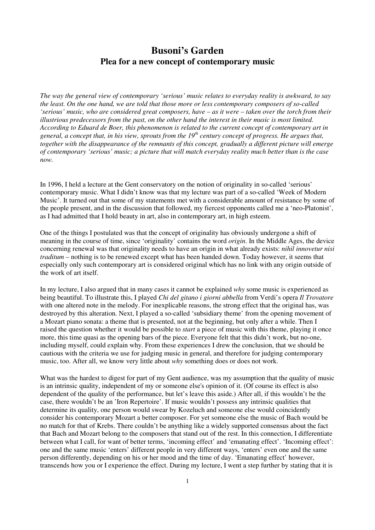# **Busoni's Garden Plea for a new concept of contemporary music**

*The way the general view of contemporary 'serious' music relates to everyday reality is awkward, to say the least. On the one hand, we are told that those more or less contemporary composers of so-called 'serious' music, who are considered great composers, have – as it were – taken over the torch from their illustrious predecessors from the past, on the other hand the interest in their music is most limited. According to Eduard de Boer, this phenomenon is related to the current concept of contemporary art in general, a concept that, in his view, sprouts from the 19th century concept of progress. He argues that, together with the disappearance of the remnants of this concept, gradually a different picture will emerge of contemporary 'serious' music; a picture that will match everyday reality much better than is the case now.* 

In 1996, I held a lecture at the Gent conservatory on the notion of originality in so-called 'serious' contemporary music. What I didn't know was that my lecture was part of a so-called 'Week of Modern Music'. It turned out that some of my statements met with a considerable amount of resistance by some of the people present, and in the discussion that followed, my fiercest opponents called me a 'neo-Platonist', as I had admitted that I hold beauty in art, also in contemporary art, in high esteem.

One of the things I postulated was that the concept of originality has obviously undergone a shift of meaning in the course of time, since 'originality' contains the word *origin*. In the Middle Ages, the device concerning renewal was that originality needs to have an origin in what already exists: *nihil innovetur nisi traditum –* nothing is to be renewed except what has been handed down. Today however, it seems that especially only such contemporary art is considered original which has no link with any origin outside of the work of art itself.

In my lecture, I also argued that in many cases it cannot be explained *why* some music is experienced as being beautiful. To illustrate this, I played *Chi del gitano i giorni abbella* from Verdi's opera *Il Trovatore* with one altered note in the melody. For inexplicable reasons, the strong effect that the original has, was destroyed by this alteration. Next, I played a so-called 'subsidiary theme' from the opening movement of a Mozart piano sonata: a theme that is presented, not at the beginning, but only after a while. Then I raised the question whether it would be possible to *start* a piece of music with this theme, playing it once more, this time quasi as the opening bars of the piece. Everyone felt that this didn't work, but no-one, including myself, could explain why. From these experiences I drew the conclusion, that we should be cautious with the criteria we use for judging music in general, and therefore for judging contemporary music, too. After all, we know very little about *why* something does or does not work.

What was the hardest to digest for part of my Gent audience, was my assumption that the quality of music is an intrinsic quality, independent of my or someone else's opinion of it. (Of course its effect is also dependent of the quality of the performance, but let's leave this aside.) After all, if this wouldn't be the case, there wouldn't be an 'Iron Repertoire'. If music wouldn't possess any intrinsic qualities that determine its quality, one person would swear by Kozeluch and someone else would coincidently consider his contemporary Mozart a better composer. For yet someone else the music of Bach would be no match for that of Krebs. There couldn't be anything like a widely supported consensus about the fact that Bach and Mozart belong to the composers that stand out of the rest. In this connection, I differentiate between what I call, for want of better terms, 'incoming effect' and 'emanating effect'. 'Incoming effect': one and the same music 'enters' different people in very different ways, 'enters' even one and the same person differently, depending on his or her mood and the time of day. 'Emanating effect' however, transcends how you or I experience the effect. During my lecture, I went a step further by stating that it is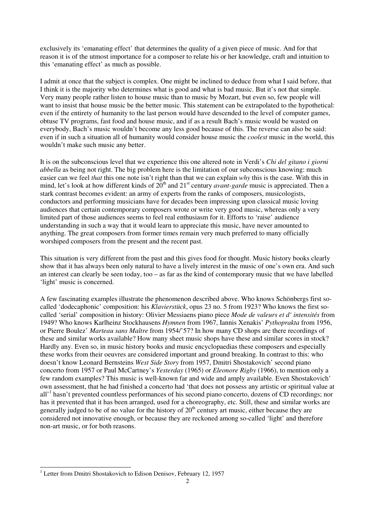exclusively its 'emanating effect' that determines the quality of a given piece of music. And for that reason it is of the utmost importance for a composer to relate his or her knowledge, craft and intuition to this 'emanating effect' as much as possible.

I admit at once that the subject is complex. One might be inclined to deduce from what I said before, that I think it is the majority who determines what is good and what is bad music. But it's not that simple. Very many people rather listen to house music than to music by Mozart, but even so, few people will want to insist that house music be the better music. This statement can be extrapolated to the hypothetical: even if the entirety of humanity to the last person would have descended to the level of computer games, obtuse TV programs, fast food and house music, and if as a result Bach's music would be wasted on everybody, Bach's music wouldn't become any less good because of this. The reverse can also be said: even if in such a situation all of humanity would consider house music the *coolest* music in the world, this wouldn't make such music any better.

It is on the subconscious level that we experience this one altered note in Verdi's *Chi del gitano i giorni abbella* as being not right. The big problem here is the limitation of our subconscious knowing: much easier can we feel *that* this one note isn't right than that we can explain *why* this is the case. With this in mind, let's look at how different kinds of 20<sup>th</sup> and 21<sup>st</sup> century *avant-garde* music is appreciated. Then a stark contrast becomes evident: an army of experts from the ranks of composers, musicologists, conductors and performing musicians have for decades been impressing upon classical music loving audiences that certain contemporary composers wrote or write very good music, whereas only a very limited part of those audiences seems to feel real enthusiasm for it. Efforts to 'raise' audience understanding in such a way that it would learn to appreciate this music, have never amounted to anything. The great composers from former times remain very much preferred to many officially worshiped composers from the present and the recent past.

This situation is very different from the past and this gives food for thought. Music history books clearly show that it has always been only natural to have a lively interest in the music of one's own era. And such an interest can clearly be seen today, too – as far as the kind of contemporary music that we have labelled 'light' music is concerned.

A few fascinating examples illustrate the phenomenon described above. Who knows Schönbergs first socalled 'dodecaphonic' composition: his *Klavierstück*, opus 23 no. 5 from 1923? Who knows the first socalled 'serial' composition in history: Olivier Messiaens piano piece *Mode de valeurs et d' intensités* from 1949? Who knows Karlheinz Stockhausens *Hymnen* from 1967, Iannis Xenakis' *Pythoprakta* from 1956, or Pierre Boulez' *Marteau sans Maître* from 1954/'57? In how many CD shops are there recordings of these and similar works available? How many sheet music shops have these and similar scores in stock? Hardly any. Even so, in music history books and music encyclopaedias these composers and especially these works from their oeuvres are considered important and ground breaking. In contrast to this: who doesn't know Leonard Bernsteins *West Side Story* from 1957, Dmitri Shostakovich' second piano concerto from 1957 or Paul McCartney's *Yesterday* (1965) or *Eleonore Rigby* (1966), to mention only a few random examples? This music is well-known far and wide and amply available. Even Shostakovich' own assessment, that he had finished a concerto had 'that does not possess any artistic or spiritual value at all'<sup>1</sup> hasn't prevented countless performances of his second piano concerto, dozens of CD recordings; nor has it prevented that it has been arranged, used for a choreography, etc. Still, these and similar works are generally judged to be of no value for the history of  $20<sup>th</sup>$  century art music, either because they are considered not innovative enough, or because they are reckoned among so-called 'light' and therefore non-art music, or for both reasons.

j <sup>1</sup> Letter from Dmitri Shostakovich to Edison Denisov, February 12, 1957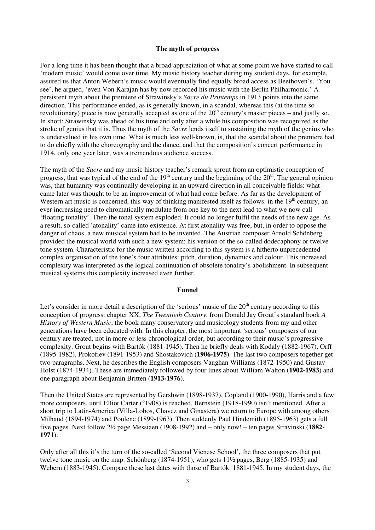## **The myth of progress**

For a long time it has been thought that a broad appreciation of what at some point we have started to call 'modern music' would come over time. My music history teacher during my student days, for example, assured us that Anton Webern's music would eventually find equally broad access as Beethoven's. 'You see', he argued, 'even Von Karajan has by now recorded his music with the Berlin Philharmonic.' A persistent myth about the premiere of Strawinsky's *Sacre du Printemps* in 1913 points into the same direction. This performance ended, as is generally known, in a scandal, whereas this (at the time so revolutionary) piece is now generally accepted as one of the  $20<sup>th</sup>$  century's master pieces – and justly so. In short: Strawinsky was ahead of his time and only after a while his composition was recognized as the stroke of genius that it is. Thus the myth of the *Sacre* lends itself to sustaining the myth of the genius who is undervalued in his own time. What is much less well-known, is, that the scandal about the premiere had to do chiefly with the choreography and the dance, and that the composition's concert performance in 1914, only one year later, was a tremendous audience success.

The myth of the *Sacre* and my music history teacher's remark sprout from an optimistic conception of progress, that was typical of the end of the  $19<sup>th</sup>$  century and the beginning of the  $20<sup>th</sup>$ . The general opinion was, that humanity was continually developing in an upward direction in all conceivable fields: what came later was thought to be an improvement of what had come before. As far as the development of Western art music is concerned, this way of thinking manifested itself as follows: in the  $19<sup>th</sup>$  century, an ever increasing need to chromatically modulate from one key to the next lead to what we now call 'floating tonality'. Then the tonal system exploded. It could no longer fulfil the needs of the new age. As a result, so-called 'atonality' came into existence. At first atonality was free, but, in order to oppose the danger of chaos, a new musical system had to be invented. The Austrian composer Arnold Schönberg provided the musical world with such a new system: his version of the so-called dodecaphony or twelve tone system. Characteristic for the music written according to this system is a hitherto unprecedented complex organisation of the tone's four attributes: pitch, duration, dynamics and colour. This increased complexity was interpreted as the logical continuation of obsolete tonality's abolishment. In subsequent musical systems this complexity increased even further.

### **Funnel**

Let's consider in more detail a description of the 'serious' music of the  $20<sup>th</sup>$  century according to this conception of progress: chapter XX, *The Twentieth Century*, from Donald Jay Grout's standard book *A History of Western Music*, the book many conservatory and musicology students from my and other generations have been educated with. In this chapter, the most important 'serious' composers of our century are treated, not in more or less chronological order, but according to their music's progressive complexity. Grout begins with Bartók (1881-1945). Then he briefly deals with Kodaly (1882-1967), Orff (1895-1982), Prokofiev (1891-1953) and Shostakovich (**1906-1975**). The last two composers together get two paragraphs. Next, he describes the English composers Vaughan Williams (1872-1950) and Gustav Holst (1874-1934). These are immediately followed by four lines about William Walton (**1902-1983**) and one paragraph about Benjamin Britten (**1913-1976**).

Then the United States are represented by Gershwin (1898-1937), Copland (1900-1990), Harris and a few more composers, until Elliot Carter (°1908) is reached. Bernstein (1918-1990) isn't mentioned. After a short trip to Latin-America (Villa-Lobos, Chavez and Ginastera) we return to Europe with among others Milhaud (1894-1974) and Poulenc (1899-1963). Then suddenly Paul Hindemith (1895-1963) gets a full five pages. Next follow 2½ page Messiaen (1908-1992) and – only now! – ten pages Stravinski (**1882- 1971**).

Only after all this it's the turn of the so-called 'Second Vienese School', the three composers that put twelve tone music on the map: Schönberg (1874-1951), who gets 11½ pages, Berg (1885-1935) and Webern (1883-1945). Compare these last dates with those of Bartók: 1881-1945. In my student days, the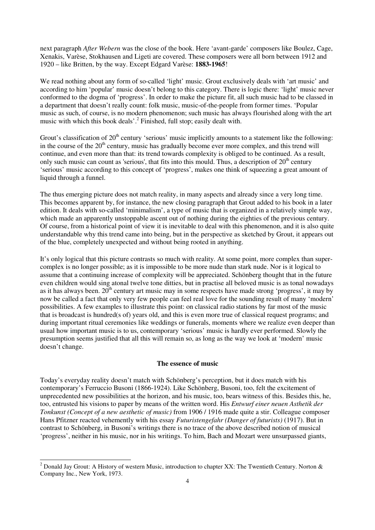next paragraph *After Webern* was the close of the book. Here 'avant-garde' composers like Boulez, Cage, Xenakis, Varèse, Stokhausen and Ligeti are covered. These composers were all born between 1912 and 1920 – like Britten, by the way. Except Edgard Varèse: **1883-1965**!

We read nothing about any form of so-called 'light' music. Grout exclusively deals with 'art music' and according to him 'popular' music doesn't belong to this category. There is logic there: 'light' music never conformed to the dogma of 'progress'. In order to make the picture fit, all such music had to be classed in a department that doesn't really count: folk music, music-of-the-people from former times. 'Popular music as such, of course, is no modern phenomenon; such music has always flourished along with the art music with which this book deals'.<sup>2</sup> Finished, full stop; easily dealt with.

Grout's classification of  $20<sup>th</sup>$  century 'serious' music implicitly amounts to a statement like the following: in the course of the  $20<sup>th</sup>$  century, music has gradually become ever more complex, and this trend will continue, and even more than that: its trend towards complexity is obliged to be continued. As a result, only such music can count as 'serious', that fits into this mould. Thus, a description of  $20<sup>th</sup>$  century 'serious' music according to this concept of 'progress', makes one think of squeezing a great amount of liquid through a funnel.

The thus emerging picture does not match reality, in many aspects and already since a very long time. This becomes apparent by, for instance, the new closing paragraph that Grout added to his book in a later edition. It deals with so-called 'minimalism', a type of music that is organized in a relatively simple way, which made an apparently unstoppable ascent out of nothing during the eighties of the previous century. Of course, from a historical point of view it is inevitable to deal with this phenomenon, and it is also quite understandable why this trend came into being, but in the perspective as sketched by Grout, it appears out of the blue, completely unexpected and without being rooted in anything.

It's only logical that this picture contrasts so much with reality. At some point, more complex than supercomplex is no longer possible; as it is impossible to be more nude than stark nude. Nor is it logical to assume that a continuing increase of complexity will be appreciated. Schönberg thought that in the future even children would sing atonal twelve tone ditties, but in practise all beloved music is as tonal nowadays as it has always been.  $20^{th}$  century art music may in some respects have made strong 'progress', it may by now be called a fact that only very few people can feel real love for the sounding result of many 'modern' possibilities. A few examples to illustrate this point: on classical radio stations by far most of the music that is broadcast is hundred(s of) years old, and this is even more true of classical request programs; and during important ritual ceremonies like weddings or funerals, moments where we realize even deeper than usual how important music is to us, contemporary 'serious' music is hardly ever performed. Slowly the presumption seems justified that all this will remain so, as long as the way we look at 'modern' music doesn't change.

#### **The essence of music**

Today's everyday reality doesn't match with Schönberg's perception, but it does match with his contemporary's Ferruccio Busoni (1866-1924). Like Schönberg, Busoni, too, felt the excitement of unprecedented new possibilities at the horizon, and his music, too, bears witness of this. Besides this, he, too, entrusted his visions to paper by means of the written word. His *Entwurf einer neuen Asthetik der Tonkunst (Concept of a new aesthetic of music)* from 1906 / 1916 made quite a stir. Colleague composer Hans Pfitzner reacted vehemently with his essay *Futuristengefahr (Danger of futurists)* (1917). But in contrast to Schönberg, in Busoni's writings there is no trace of the above described notion of musical 'progress', neither in his music, nor in his writings. To him, Bach and Mozart were unsurpassed giants,

<sup>&</sup>lt;sup>2</sup> Donald Jay Grout: A History of western Music, introduction to chapter XX: The Twentieth Century. Norton & Company Inc., New York, 1973.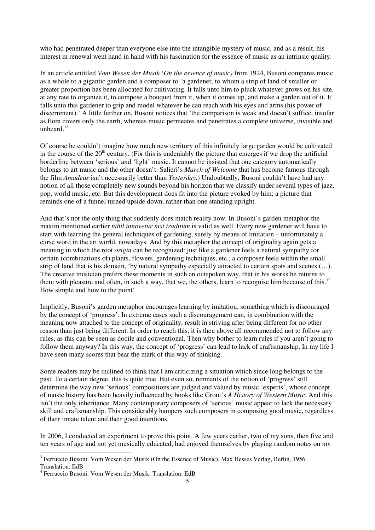who had penetrated deeper than everyone else into the intangible mystery of music, and as a result, his interest in renewal went hand in hand with his fascination for the essence of music as an intrinsic quality.

In an article entitled *Vom Wesen der Musik (On the essence of music)* from 1924, Busoni compares music as a whole to a gigantic garden and a composer to 'a gardener, to whom a strip of land of smaller or greater proportion has been allocated for cultivating. It falls unto him to pluck whatever grows on his site, at any rate to organize it, to compose a bouquet from it, when it comes up, and make a garden out of it. It falls unto this gardener to grip and model whatever he can reach with his eyes and arms (his power of discernment).' A little further on, Busoni notices that 'the comparison is weak and doesn't suffice, insofar as flora covers only the earth, whereas music permeates and penetrates a complete universe, invisible and unheard $^{3}$ 

Of course he couldn't imagine how much new territory of this infinitely large garden would be cultivated in the course of the  $20<sup>th</sup>$  century. (For this is undeniably the picture that emerges if we drop the artificial borderline between 'serious' and 'light' music. It cannot be insisted that one category automatically belongs to art music and the other doesn't. Salieri's *March of Welcome* that has become famous through the film *Amadeus* isn't necessarily better than *Yesterday*.) Undoubtedly, Busoni couldn't have had any notion of all those completely new sounds beyond his horizon that we classify under several types of jazz, pop, world music, etc. But this development does fit into the picture evoked by him; a picture that reminds one of a funnel turned upside down, rather than one standing upright.

And that's not the only thing that suddenly does match reality now. In Busoni's garden metaphor the maxim mentioned earlier *nihil innovetur nisi traditum* is valid as well. Every new gardener will have to start with learning the general techniques of gardening, surely by means of imitation – unfortunately a curse word in the art world, nowadays. And by this metaphor the concept of originality again gets a meaning in which the root *origin* can be recognized: just like a gardener feels a natural sympathy for certain (combinations of) plants, flowers, gardening techniques, etc., a composer feels within the small strip of land that is his domain, 'by natural sympathy especially attracted to certain spots and scenes (…). The creative musician prefers these moments in such an outspoken way, that in his works he returns to them with pleasure and often, in such a way, that we, the others, learn to recognise him because of this.'<sup>4</sup> How simple and how to the point!

Implicitly, Busoni's garden metaphor encourages learning by imitation, something which is discouraged by the concept of 'progress'. In extreme cases such a discouragement can, in combination with the meaning now attached to the concept of originality, result in striving after being different for no other reason than just being different. In order to reach this, it is then above all recommended not to follow any rules, as this can be seen as docile and conventional. Then why bother to learn rules if you aren't going to follow them anyway? In this way, the concept of 'progress' can lead to lack of craftsmanship. In my life I have seen many scores that bear the mark of this way of thinking.

Some readers may be inclined to think that I am criticizing a situation which since long belongs to the past. To a certain degree, this is quite true. But even so, remnants of the notion of 'progress' still determine the way new 'serious' compositions are judged and valued by music 'experts', whose concept of music history has been heavily influenced by books like Grout's *A History of Western Music*. And this isn't the only inheritance. Many contemporary composers of 'serious' music appear to lack the necessary skill and craftsmanship. This considerably hampers such composers in composing good music, regardless of their innate talent and their good intentions.

In 2006, I conducted an experiment to prove this point. A few years earlier, two of my sons, then five and ten years of age and not yet musically educated, had enjoyed themselves by playing random notes on my

<sup>&</sup>lt;sup>3</sup> Ferruccio Busoni: Vom Wesen der Musik (On the Essence of Music). Max Hesses Verlag, Berlin, 1956. Translation: EdB

<sup>4</sup> Ferruccio Busoni: Vom Wesen der Musik. Translation: EdB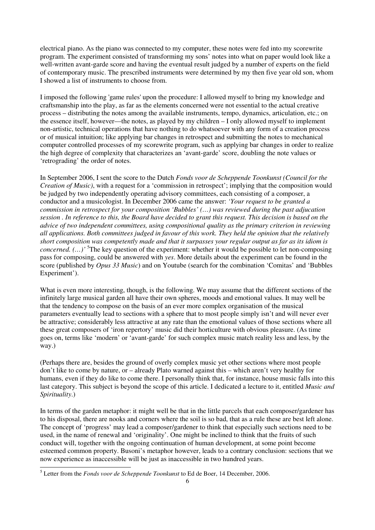electrical piano. As the piano was connected to my computer, these notes were fed into my scorewrite program. The experiment consisted of transforming my sons' notes into what on paper would look like a well-written avant-garde score and having the eventual result judged by a number of experts on the field of contemporary music. The prescribed instruments were determined by my then five year old son, whom I showed a list of instruments to choose from.

I imposed the following 'game rules' upon the procedure: I allowed myself to bring my knowledge and craftsmanship into the play, as far as the elements concerned were not essential to the actual creative process – distributing the notes among the available instruments, tempo, dynamics, articulation, etc.; on the essence itself, however––the notes, as played by my children – I only allowed myself to implement non-artistic, technical operations that have nothing to do whatsoever with any form of a creation process or of musical intuition; like applying bar changes in retrospect and submitting the notes to mechanical computer controlled processes of my scorewrite program, such as applying bar changes in order to realize the high degree of complexity that characterizes an 'avant-garde' score, doubling the note values or 'retrograding' the order of notes.

In September 2006, I sent the score to the Dutch *Fonds voor de Scheppende Toonkunst (Council for the Creation of Music)*, with a request for a 'commission in retrospect'; implying that the composition would be judged by two independently operating advisory committees, each consisting of a composer, a conductor and a musicologist. In December 2006 came the answer: *'Your request to be granted a commission in retrospect for your composition 'Bubbles' (…) was reviewed during the past adjucation session . In reference to this, the Board have decided to grant this request. This decision is based on the advice of two independent committees, using compositional quality as the primary criterion in reviewing all applications. Both committees judged in favour of this work. They held the opinion that the relatively short composition was competently made and that it surpasses your regular output as far as its idiom is concerned.* (...)<sup>' 5</sup>The key question of the experiment: whether it would be possible to let non-composing pass for composing, could be answered with *yes*. More details about the experiment can be found in the score (published by *Opus 33 Music*) and on Youtube (search for the combination 'Comitas' and 'Bubbles Experiment').

What is even more interesting, though, is the following. We may assume that the different sections of the infinitely large musical garden all have their own spheres, moods and emotional values. It may well be that the tendency to compose on the basis of an ever more complex organisation of the musical parameters eventually lead to sections with a sphere that to most people simply isn't and will never ever be attractive; considerably less attractive at any rate than the emotional values of those sections where all these great composers of 'iron repertory' music did their horticulture with obvious pleasure. (As time goes on, terms like 'modern' or 'avant-garde' for such complex music match reality less and less, by the way.)

(Perhaps there are, besides the ground of overly complex music yet other sections where most people don't like to come by nature, or – already Plato warned against this – which aren't very healthy for humans, even if they do like to come there. I personally think that, for instance, house music falls into this last category. This subject is beyond the scope of this article. I dedicated a lecture to it, entitled *Music and Spirituality*.)

In terms of the garden metaphor: it might well be that in the little parcels that each composer/gardener has to his disposal, there are nooks and corners where the soil is so bad, that as a rule these are best left alone. The concept of 'progress' may lead a composer/gardener to think that especially such sections need to be used, in the name of renewal and 'originality'. One might be inclined to think that the fruits of such conduct will, together with the ongoing continuation of human development, at some point become esteemed common property. Busoni's metaphor however, leads to a contrary conclusion: sections that we now experience as inaccessible will be just as inaccessible in two hundred years.

 5 Letter from the *Fonds voor de Scheppende Toonkunst* to Ed de Boer, 14 December, 2006.